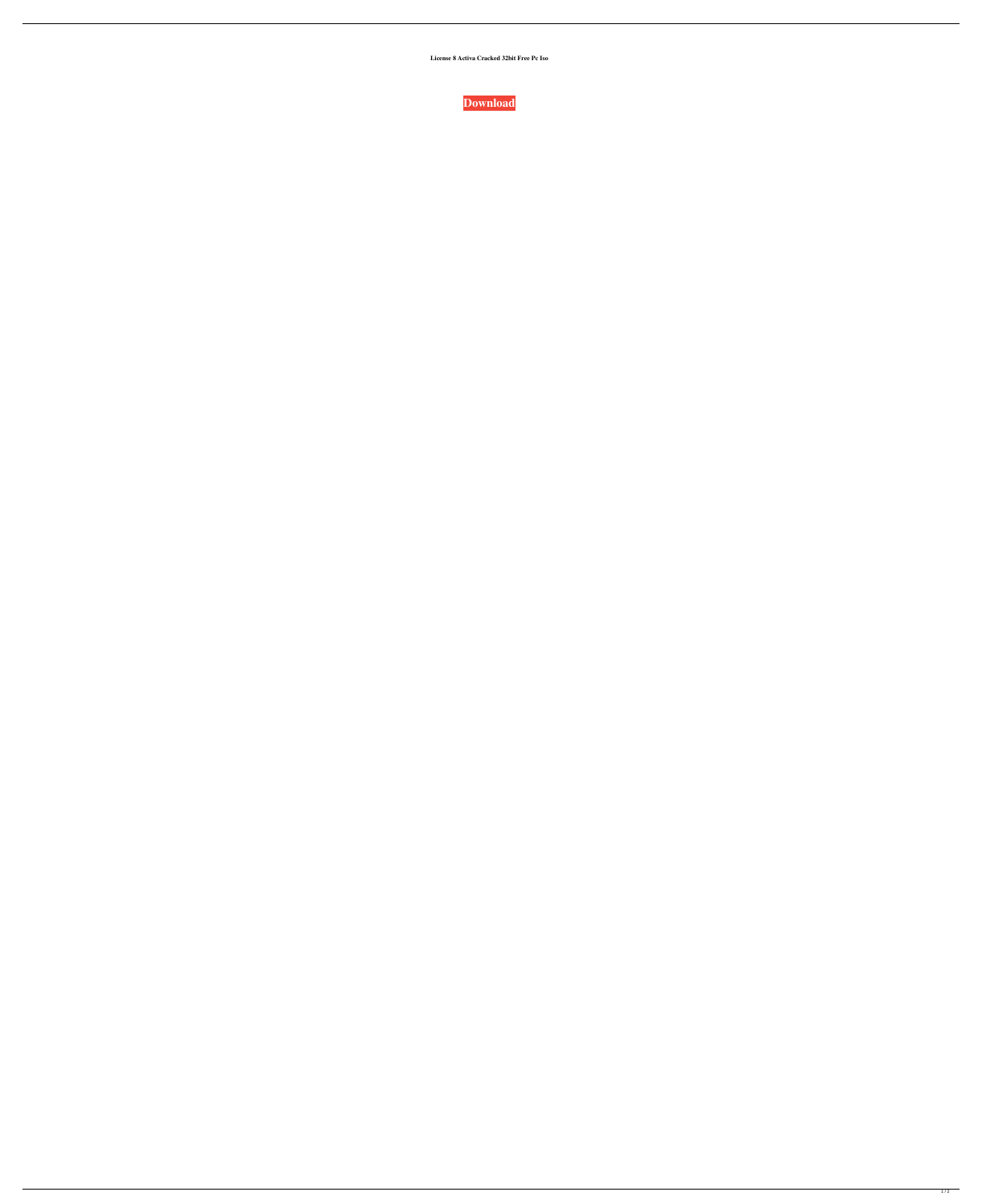**License 8 Activa Cracked 32bit Free Pc Iso**